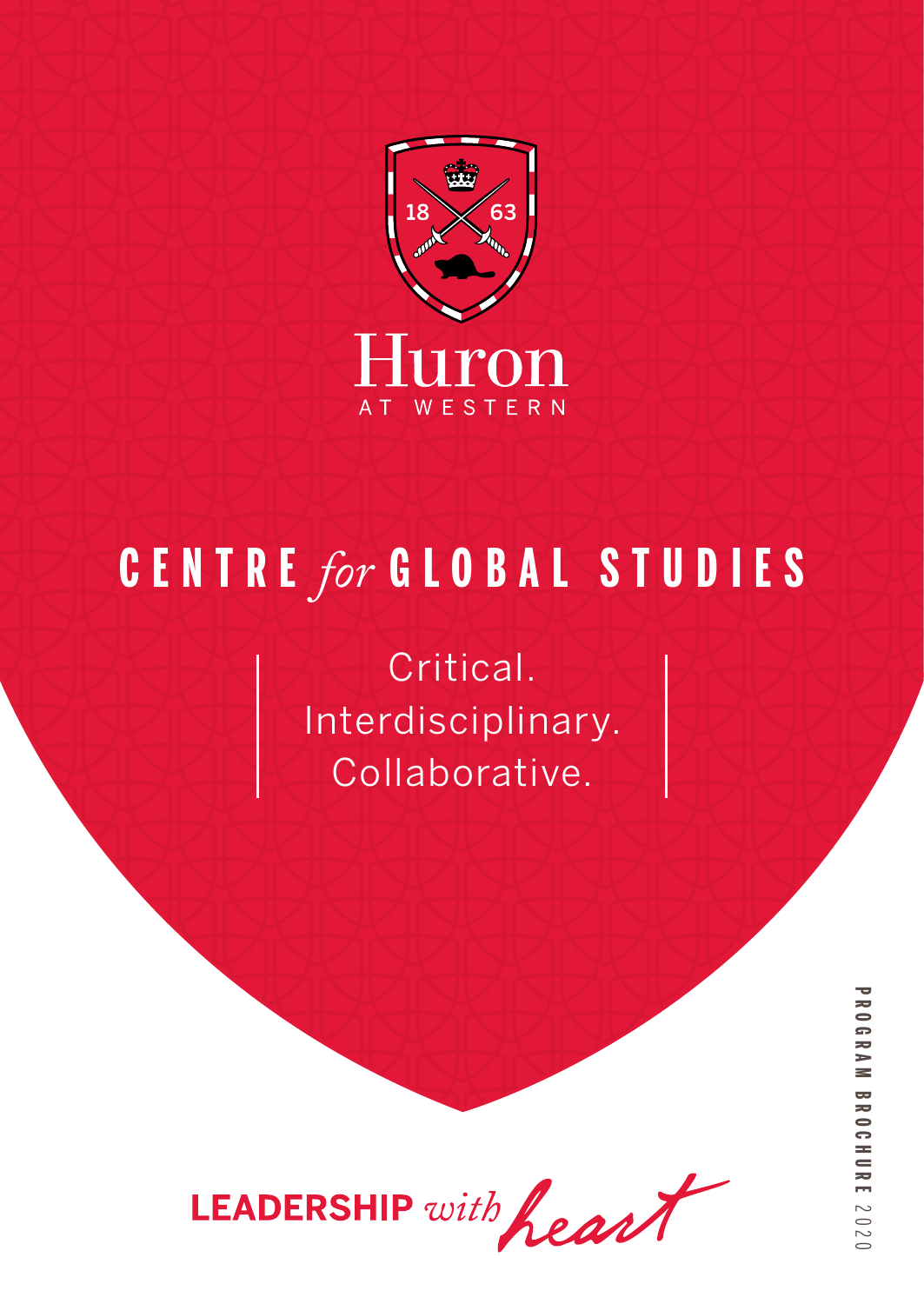

# **C E N T R E** *for* **GLOBAL STUDIES**

Critical. Interdisciplinary. Collaborative.

LEADERSHIP with heart

**PROGRAM BROCHUREPROGRAM BROCHURE 2020**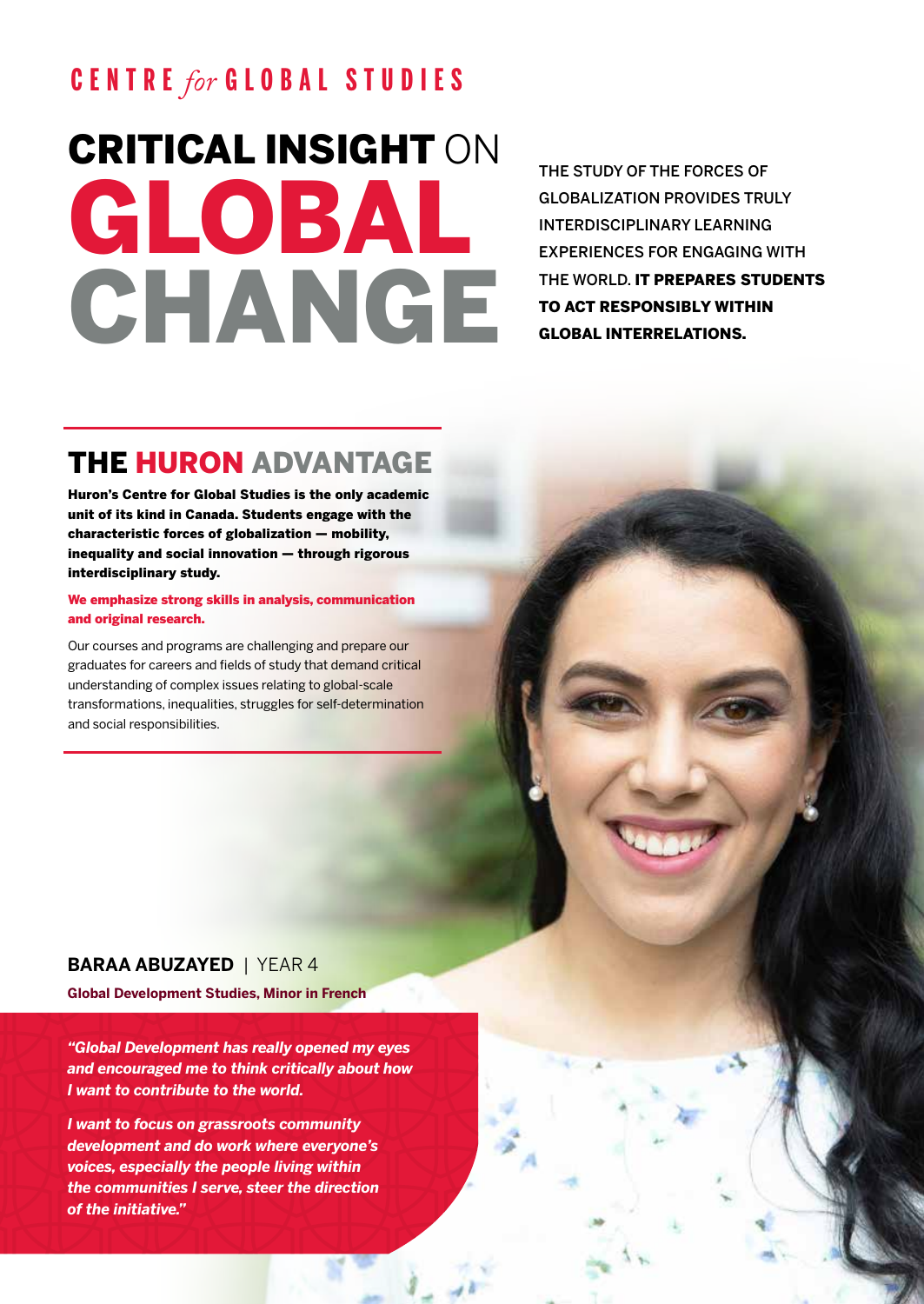# **C E N T R E** *for* **GLOBAL STUDIES**

# CRITICAL INSIGHT ON GLOBAL CHANGE

THE STUDY OF THE FORCES OF GLOBALIZATION PROVIDES TRULY INTERDISCIPLINARY LEARNING EXPERIENCES FOR ENGAGING WITH THE WORLD. IT PREPARES STUDENTS TO ACT RESPONSIBLY WITHIN GLOBAL INTERRELATIONS.

# THE HURON ADVANTAGE

Huron's Centre for Global Studies is the only academic unit of its kind in Canada. Students engage with the characteristic forces of globalization — mobility, inequality and social innovation — through rigorous interdisciplinary study.

#### We emphasize strong skills in analysis, communication and original research.

Our courses and programs are challenging and prepare our graduates for careers and fields of study that demand critical understanding of complex issues relating to global-scale transformations, inequalities, struggles for self-determination and social responsibilities.

#### **BARAA ABUZAYED** | YEAR 4

**Global Development Studies, Minor in French**

*"Global Development has really opened my eyes and encouraged me to think critically about how I want to contribute to the world.*

*I want to focus on grassroots community development and do work where everyone's voices, especially the people living within the communities I serve, steer the direction of the initiative."*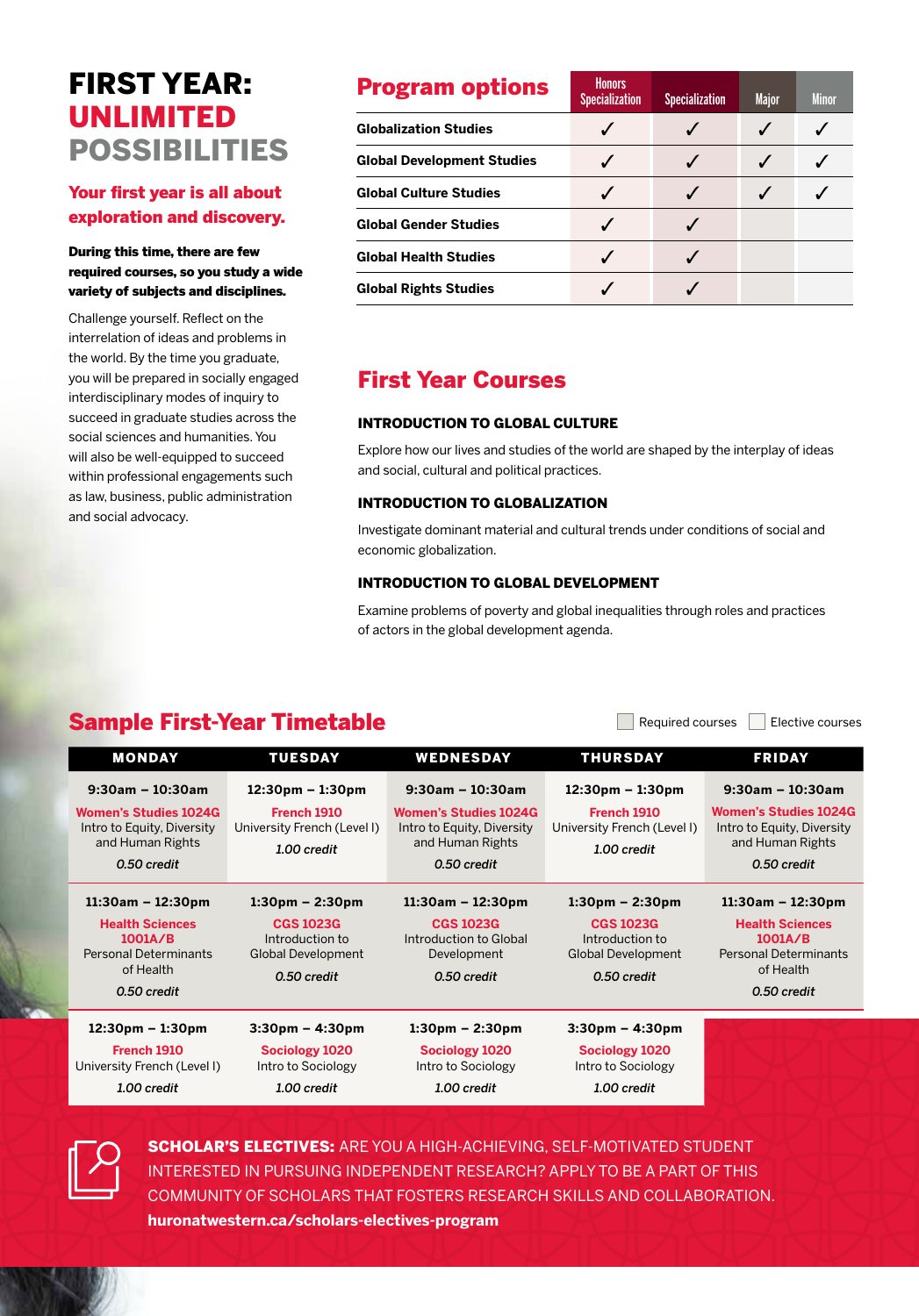# FIRST YEAR: UNLIMITED POSSIBILITIES

#### Your first year is all about exploration and discovery.

#### During this time, there are few required courses, so you study a wide variety of subjects and disciplines.

Challenge yourself. Reflect on the interrelation of ideas and problems in the world. By the time you graduate, you will be prepared in socially engaged interdisciplinary modes of inquiry to succeed in graduate studies across the social sciences and humanities. You will also be well-equipped to succeed within professional engagements such as law, business, public administration and social advocacy.

| <b>Program options</b>            | <b>Honors</b><br><b>Specialization</b> | <b>Specialization</b> | <b>Major</b> | <b>Minor</b> |
|-----------------------------------|----------------------------------------|-----------------------|--------------|--------------|
| <b>Globalization Studies</b>      |                                        |                       |              |              |
| <b>Global Development Studies</b> |                                        |                       |              |              |
| <b>Global Culture Studies</b>     |                                        |                       |              |              |
| <b>Global Gender Studies</b>      |                                        |                       |              |              |
| <b>Global Health Studies</b>      |                                        |                       |              |              |
| <b>Global Rights Studies</b>      |                                        |                       |              |              |

### First Year Courses

#### INTRODUCTION TO GLOBAL CULTURE

Explore how our lives and studies of the world are shaped by the interplay of ideas and social, cultural and political practices.

#### INTRODUCTION TO GLOBALIZATION

Investigate dominant material and cultural trends under conditions of social and economic globalization.

#### INTRODUCTION TO GLOBAL DEVELOPMENT

Examine problems of poverty and global inequalities through roles and practices of actors in the global development agenda.

## Sample First-Year Timetable **Sample First-Year Timetable**

| <b>MONDAY</b>                                              | <b>TUESDAY</b>                              | <b>WEDNESDAY</b>                                           | THURSDAY                                   | <b>FRIDAY</b>                                              |
|------------------------------------------------------------|---------------------------------------------|------------------------------------------------------------|--------------------------------------------|------------------------------------------------------------|
| $9:30$ am - 10:30am                                        | $12:30 \text{pm} - 1:30 \text{pm}$          | $9:30$ am - 10:30am                                        | $12:30 \text{pm} - 1:30 \text{pm}$         | $9:30am - 10:30am$                                         |
| <b>Women's Studies 1024G</b><br>Intro to Equity, Diversity | French 1910<br>University French (Level I)  | <b>Women's Studies 1024G</b><br>Intro to Equity, Diversity | French 1910<br>University French (Level I) | <b>Women's Studies 1024G</b><br>Intro to Equity, Diversity |
| and Human Rights                                           | 1.00 credit                                 | and Human Rights                                           | 1.00 credit                                | and Human Rights                                           |
| 0.50 credit                                                |                                             | 0.50 credit                                                |                                            | 0.50 credit                                                |
| $11:30$ am – 12:30pm                                       | $1:30 \text{pm} - 2:30 \text{pm}$           | $11:30am - 12:30pm$                                        | $1:30 \text{pm} - 2:30 \text{pm}$          | $11:30am - 12:30pm$                                        |
| <b>Health Sciences</b>                                     | <b>CGS 1023G</b>                            | <b>CGS 1023G</b>                                           | <b>CGS 1023G</b>                           | <b>Health Sciences</b>                                     |
| 1001A/B                                                    | Introduction to                             | Introduction to Global                                     | Introduction to                            | 1001A/B                                                    |
| <b>Personal Determinants</b><br>of Health                  | <b>Global Development</b>                   | Development                                                | Global Development                         | <b>Personal Determinants</b><br>of Health                  |
|                                                            | 0.50 credit                                 | 0.50 credit                                                | 0.50 credit                                |                                                            |
| 0.50 credit                                                |                                             |                                                            |                                            | 0.50 credit                                                |
| $12:30 \text{pm} - 1:30 \text{pm}$                         | $3:30 \text{pm} - 4:30 \text{pm}$           | $1:30 \text{pm} - 2:30 \text{pm}$                          | $3:30 \text{pm} - 4:30 \text{pm}$          |                                                            |
| French 1910<br>University French (Level I)                 | <b>Sociology 1020</b><br>Intro to Sociology | <b>Sociology 1020</b><br>Intro to Sociology                | Sociology 1020<br>Intro to Sociology       |                                                            |
| 1.00 credit                                                | 1.00 credit                                 | 1.00 credit                                                | 1.00 credit                                |                                                            |



**SCHOLAR'S ELECTIVES:** ARE YOU A HIGH-ACHIEVING, SELF-MOTIVATED STUDENT INTERESTED IN PURSUING INDEPENDENT RESEARCH? APPLY TO BE A PART OF THIS COMMUNITY OF SCHOLARS THAT FOSTERS RESEARCH SKILLS AND COLLABORATION. **huronatwestern.ca/scholars-electives-program**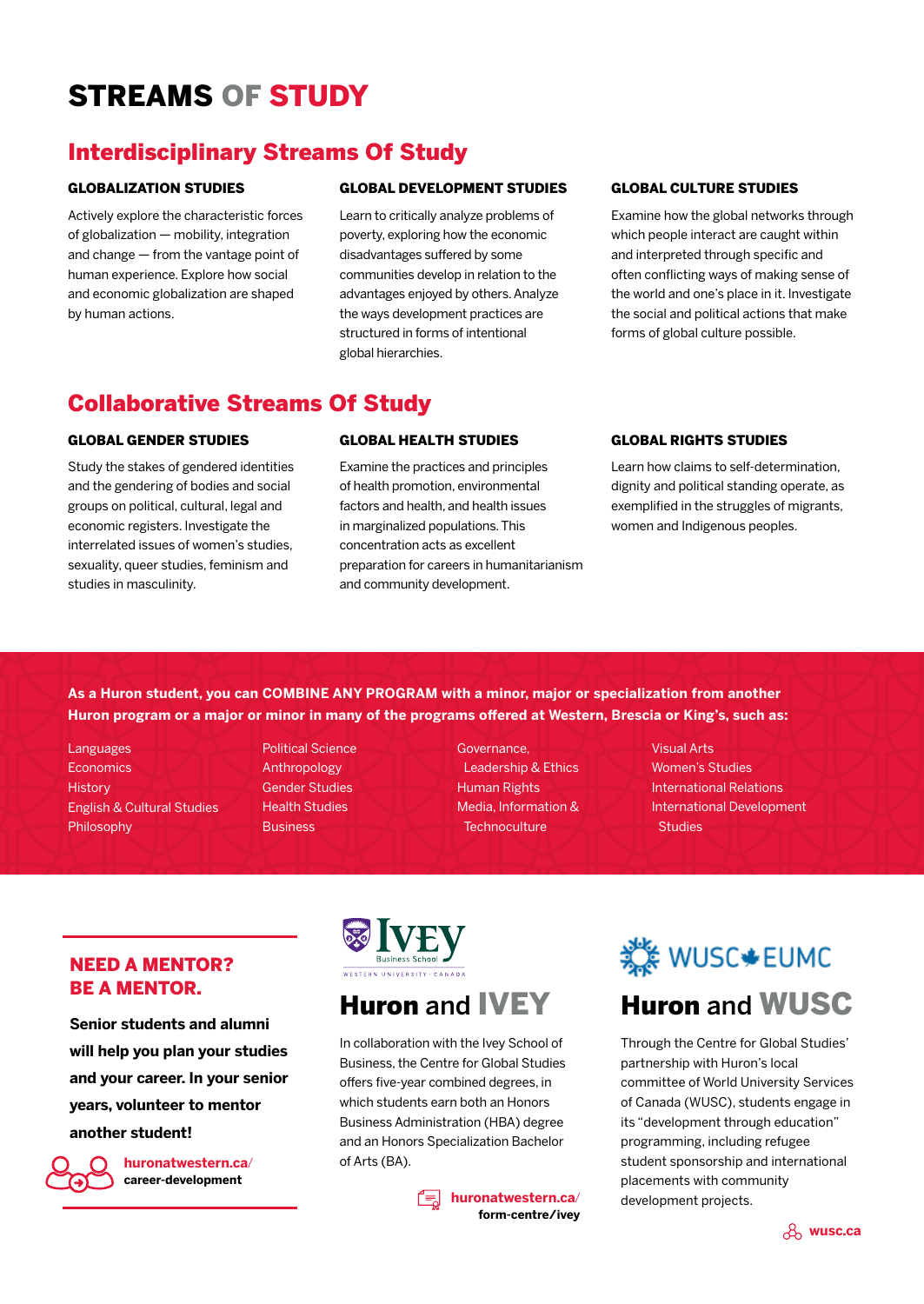# STREAMS OF STUDY

### Interdisciplinary Streams Of Study

#### GLOBALIZATION STUDIES

Actively explore the characteristic forces of globalization — mobility, integration and change — from the vantage point of human experience. Explore how social and economic globalization are shaped by human actions.

#### GLOBAL DEVELOPMENT STUDIES

Learn to critically analyze problems of poverty, exploring how the economic disadvantages suffered by some communities develop in relation to the advantages enjoyed by others. Analyze the ways development practices are structured in forms of intentional global hierarchies.

#### GLOBAL CULTURE STUDIES

Examine how the global networks through which people interact are caught within and interpreted through specific and often conflicting ways of making sense of the world and one's place in it. Investigate the social and political actions that make forms of global culture possible.

### Collaborative Streams Of Study

#### GLOBAL GENDER STUDIES

Study the stakes of gendered identities and the gendering of bodies and social groups on political, cultural, legal and economic registers. Investigate the interrelated issues of women's studies, sexuality, queer studies, feminism and studies in masculinity.

#### GLOBAL HEALTH STUDIES

Examine the practices and principles of health promotion, environmental factors and health, and health issues in marginalized populations. This concentration acts as excellent preparation for careers in humanitarianism and community development.

#### GLOBAL RIGHTS STUDIES

Learn how claims to self-determination, dignity and political standing operate, as exemplified in the struggles of migrants, women and Indigenous peoples.

**As a Huron student, you can COMBINE ANY PROGRAM with a minor, major or specialization from another Huron program or a major or minor in many of the programs offered at Western, Brescia or King's, such as:**

Languages **Economics History** English & Cultural Studies Philosophy

Political Science Anthropology Gender Studies Health Studies **Business** 

Governance, Leadership & Ethics Human Rights Media, Information & **Technoculture** 

Visual Arts Women's Studies International Relations International Development **Studies** 

#### NEED A MENTOR? BE A MENTOR.

**Senior students and alumni will help you plan your studies and your career. In your senior years, volunteer to mentor another student!** 



**huronatwestern.ca**/ **career-development**



# Huron and IVEY

In collaboration with the Ivey School of Business, the Centre for Global Studies offers five-year combined degrees, in which students earn both an Honors Business Administration (HBA) degree and an Honors Specialization Bachelor of Arts (BA).

> **huronatwestern.ca**/ **form-centre/ivey**

# র্ষ WUSC + EUMC Huron and WUSC

Through the Centre for Global Studies' partnership with Huron's local committee of World University Services of Canada (WUSC), students engage in its "development through education" programming, including refugee student sponsorship and international placements with community development projects.

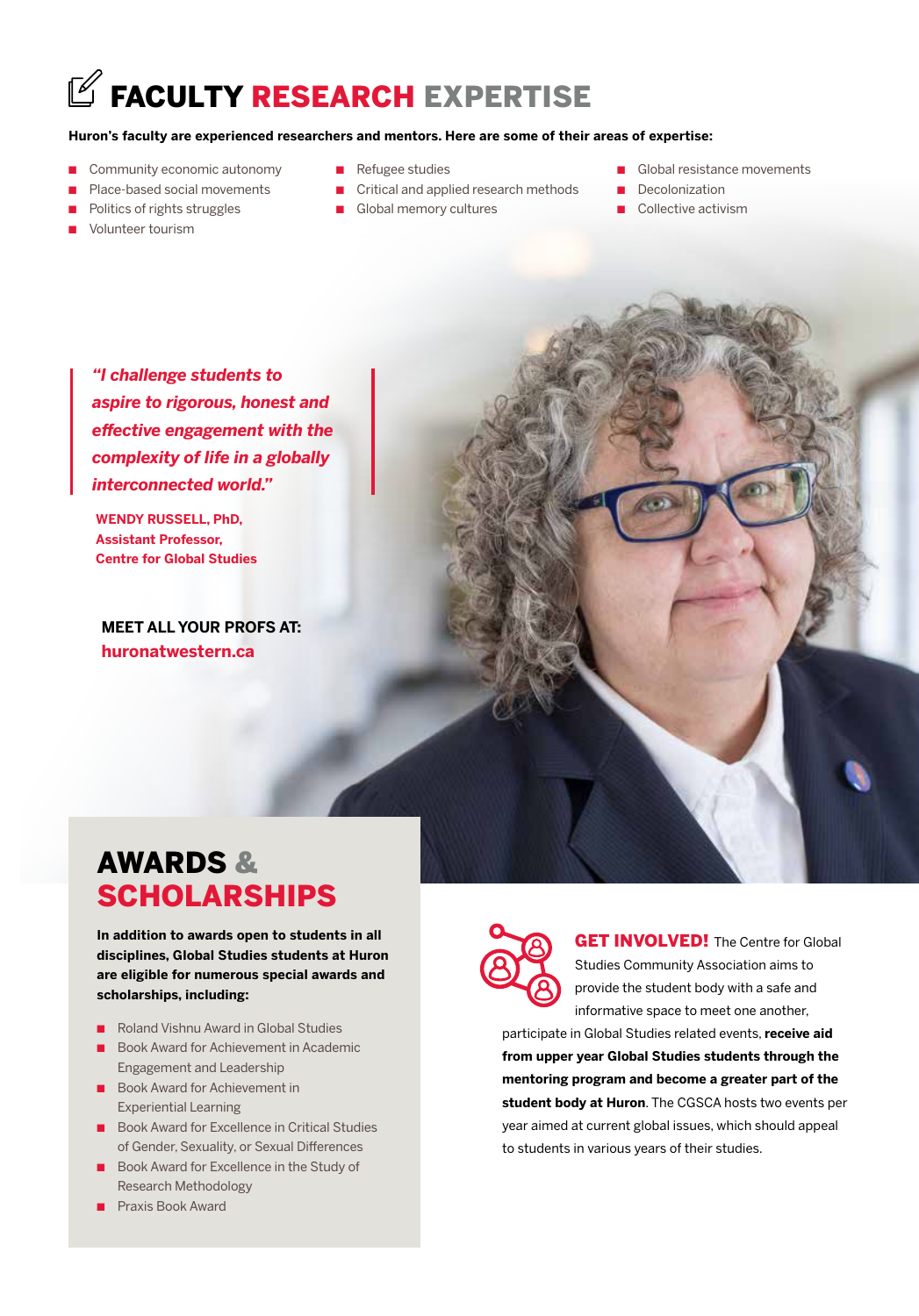# $\mathbb Z$  FACULTY RESEARCH EXPERTISE

#### **Huron's faculty are experienced researchers and mentors. Here are some of their areas of expertise:**

- Community economic autonomy
- Place-based social movements
- Politics of rights struggles
- Volunteer tourism
- Refugee studies
- Critical and applied research methods
- Global memory cultures
- Global resistance movements
- Decolonization
- Collective activism

*"I challenge students to aspire to rigorous, honest and effective engagement with the complexity of life in a globally interconnected world."* 

**WENDY RUSSELL, PhD, Assistant Professor, Centre for Global Studies**

**MEET ALL YOUR PROFS AT: huronatwestern.ca**



# AWARDS & **SCHOLARSHIPS**

**In addition to awards open to students in all disciplines, Global Studies students at Huron are eligible for numerous special awards and scholarships, including:**

- Roland Vishnu Award in Global Studies
- Book Award for Achievement in Academic Engagement and Leadership
- Book Award for Achievement in Experiential Learning
- Book Award for Excellence in Critical Studies of Gender, Sexuality, or Sexual Differences
- Book Award for Excellence in the Study of Research Methodology
- Praxis Book Award



**GET INVOLVED!** The Centre for Global Studies Community Association aims to provide the student body with a safe and informative space to meet one another,

participate in Global Studies related events, **receive aid from upper year Global Studies students through the mentoring program and become a greater part of the student body at Huron**. The CGSCA hosts two events per year aimed at current global issues, which should appeal to students in various years of their studies.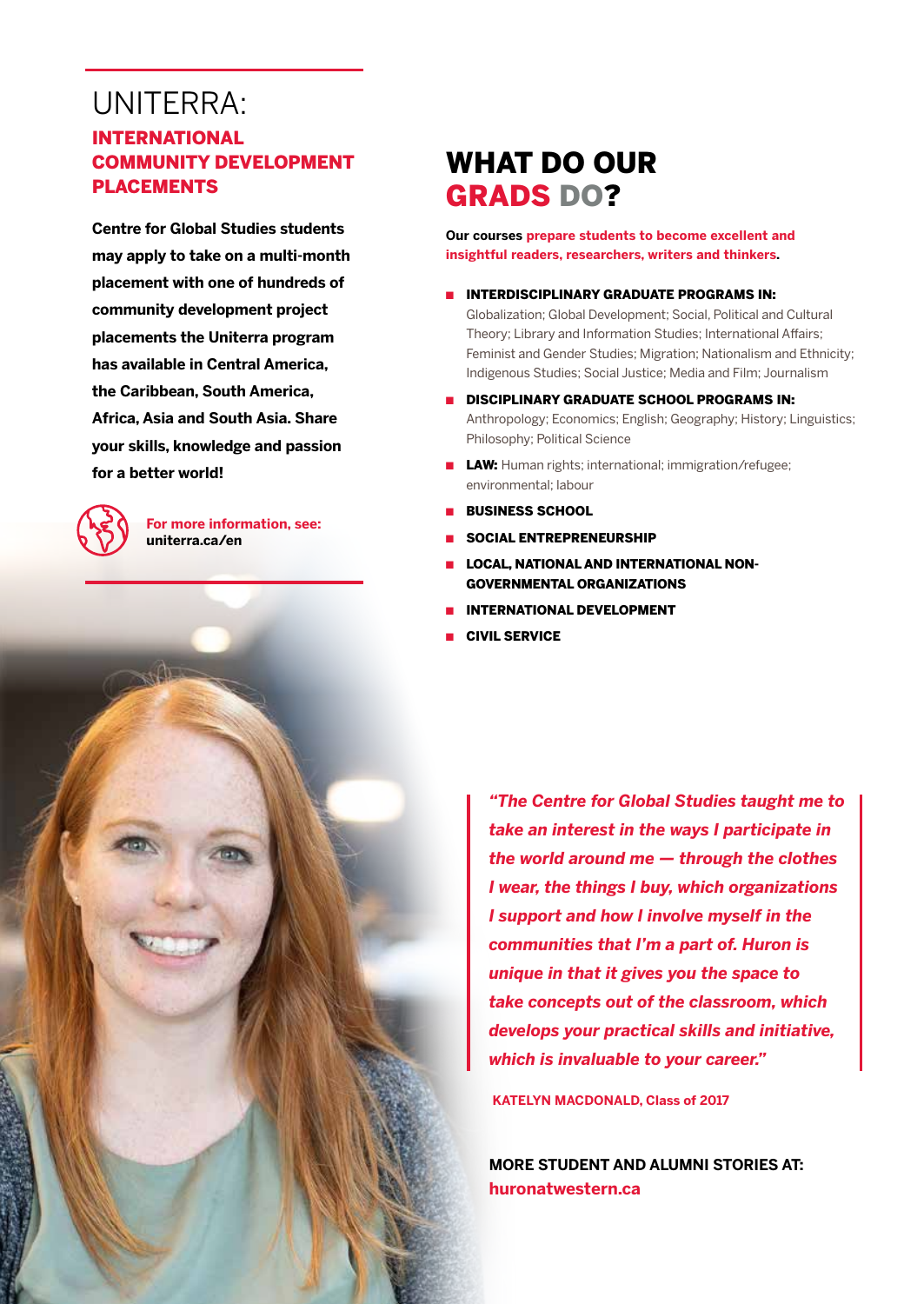# UNITERRA:

#### INTERNATIONAL COMMUNITY DEVELOPMENT PLACEMENTS

**Centre for Global Studies students may apply to take on a multi-month placement with one of hundreds of community development project placements the Uniterra program has available in Central America, the Caribbean, South America, Africa, Asia and South Asia. Share your skills, knowledge and passion for a better world!** 



**For more information, see: uniterra.ca/en**

# WHAT DO OUR GRADS DO?

**Our courses prepare students to become excellent and insightful readers, researchers, writers and thinkers.**

- INTERDISCIPLINARY GRADUATE PROGRAMS IN: Globalization; Global Development; Social, Political and Cultural Theory; Library and Information Studies; International Affairs; Feminist and Gender Studies; Migration; Nationalism and Ethnicity; Indigenous Studies; Social Justice; Media and Film; Journalism
- DISCIPLINARY GRADUATE SCHOOL PROGRAMS IN: Anthropology; Economics; English; Geography; History; Linguistics; Philosophy; Political Science
- LAW: Human rights; international; immigration/refugee; environmental; labour
- BUSINESS SCHOOL
- SOCIAL ENTREPRENEURSHIP
- LOCAL, NATIONAL AND INTERNATIONAL NON-GOVERNMENTAL ORGANIZATIONS
- **INTERNATIONAL DEVELOPMENT**
- CIVIL SERVICE

*"The Centre for Global Studies taught me to take an interest in the ways I participate in the world around me — through the clothes I wear, the things I buy, which organizations I support and how I involve myself in the communities that I'm a part of. Huron is unique in that it gives you the space to take concepts out of the classroom, which develops your practical skills and initiative, which is invaluable to your career."*

**KATELYN MACDONALD, Class of 2017** 

**MORE STUDENT AND ALUMNI STORIES AT: huronatwestern.ca**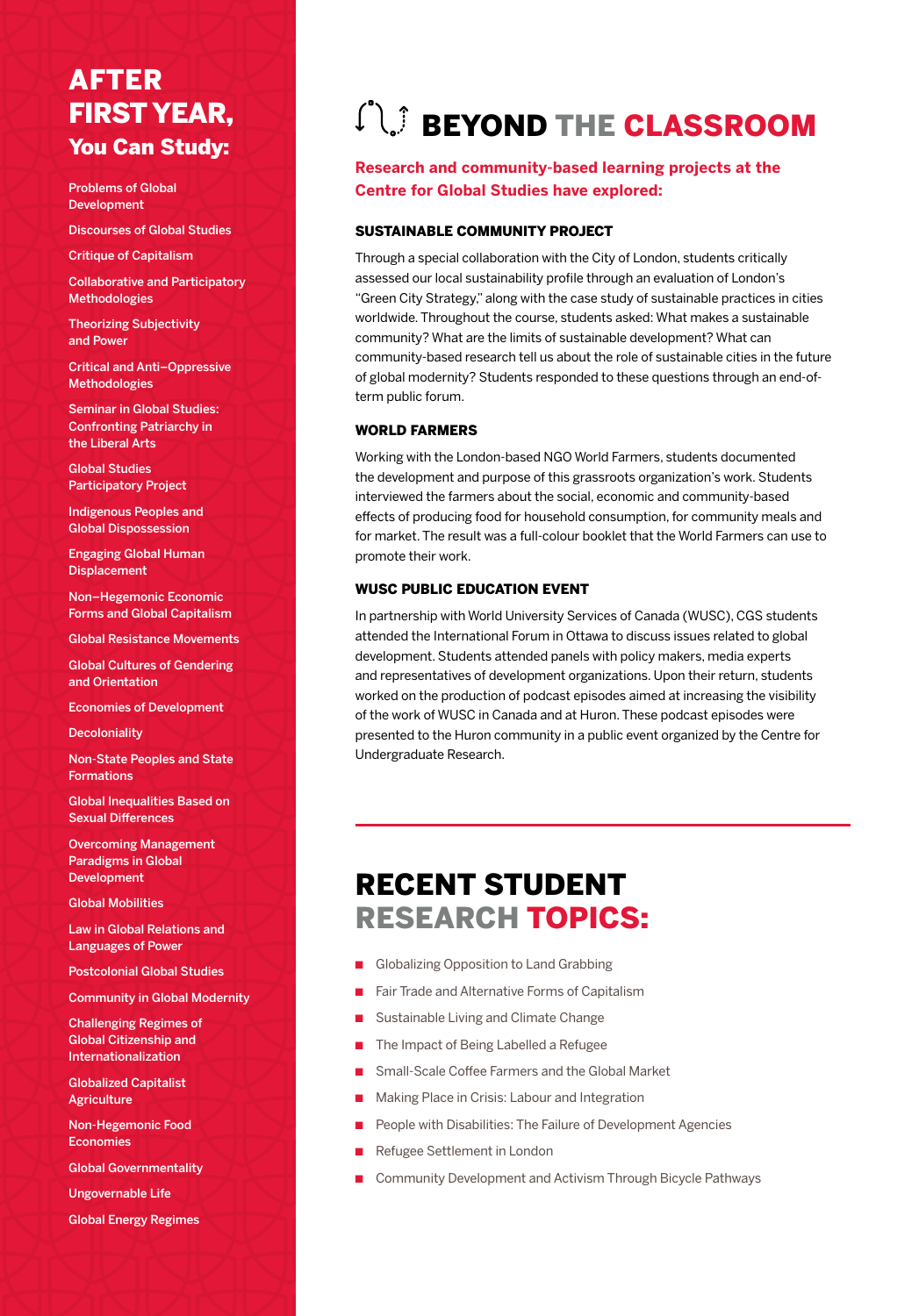## AFTER FIRST YEAR, You Can Study:

Problems of Global Development

Discourses of Global Studies

Critique of Capitalism

Collaborative and Participatory Methodologies

Theorizing Subjectivity and Power

Critical and Anti–Oppressive Methodologies

Seminar in Global Studies: Confronting Patriarchy in the Liberal Arts

Global Studies Participatory Project

Indigenous Peoples and Global Dispossession

Engaging Global Human **Displacement** 

Non–Hegemonic Economic Forms and Global Capitalism

Global Resistance Movements

Global Cultures of Gendering and Orientation

Economies of Development

**Decoloniality** 

Non-State Peoples and State Formations

Global Inequalities Based on Sexual Differences

Overcoming Management Paradigms in Global Development

Global Mobilities

Law in Global Relations and Languages of Power

Postcolonial Global Studies

Community in Global Modernity

Challenging Regimes of Global Citizenship and Internationalization

Globalized Capitalist **Agriculture** 

Non-Hegemonic Food Economies

Global Governmentality

Ungovernable Life

Global Energy Regimes

# **CU BEYOND THE CLASSROOM**

#### **Research and community-based learning projects at the Centre for Global Studies have explored:**

#### SUSTAINABLE COMMUNITY PROJECT

Through a special collaboration with the City of London, students critically assessed our local sustainability profile through an evaluation of London's "Green City Strategy," along with the case study of sustainable practices in cities worldwide. Throughout the course, students asked: What makes a sustainable community? What are the limits of sustainable development? What can community-based research tell us about the role of sustainable cities in the future of global modernity? Students responded to these questions through an end-ofterm public forum.

#### WORLD FARMERS

Working with the London-based NGO World Farmers, students documented the development and purpose of this grassroots organization's work. Students interviewed the farmers about the social, economic and community-based effects of producing food for household consumption, for community meals and for market. The result was a full-colour booklet that the World Farmers can use to promote their work.

#### WUSC PUBLIC EDUCATION EVENT

In partnership with World University Services of Canada (WUSC), CGS students attended the International Forum in Ottawa to discuss issues related to global development. Students attended panels with policy makers, media experts and representatives of development organizations. Upon their return, students worked on the production of podcast episodes aimed at increasing the visibility of the work of WUSC in Canada and at Huron. These podcast episodes were presented to the Huron community in a public event organized by the Centre for Undergraduate Research.

# RECENT STUDENT RESEARCH TOPICS:

- Globalizing Opposition to Land Grabbing
- Fair Trade and Alternative Forms of Capitalism
- Sustainable Living and Climate Change
- The Impact of Being Labelled a Refugee
- Small-Scale Coffee Farmers and the Global Market
- Making Place in Crisis: Labour and Integration
- People with Disabilities: The Failure of Development Agencies
- Refugee Settlement in London
- Community Development and Activism Through Bicycle Pathways